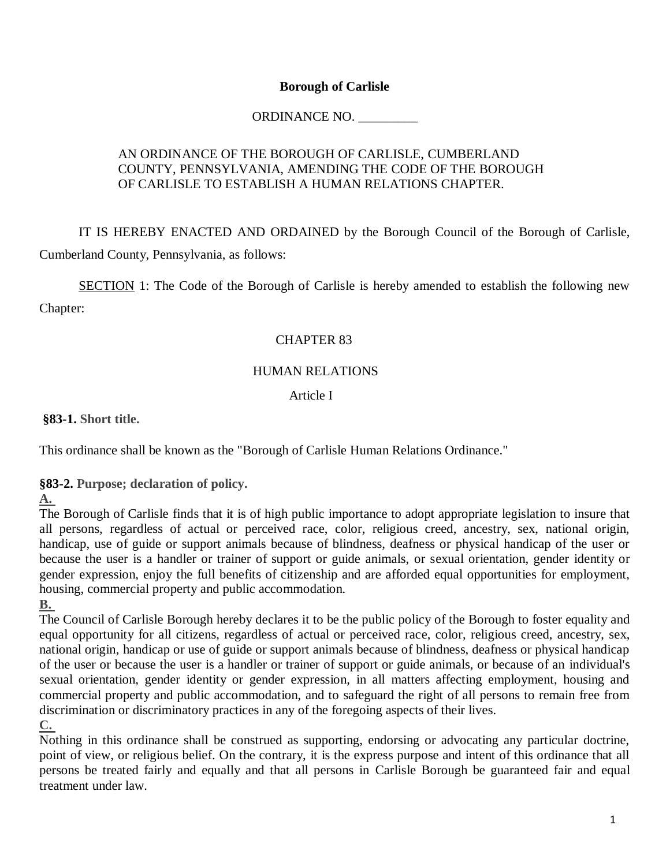#### **Borough of Carlisle**

### ORDINANCE NO. \_\_\_\_\_\_\_\_\_

### AN ORDINANCE OF THE BOROUGH OF CARLISLE, CUMBERLAND COUNTY, PENNSYLVANIA, AMENDING THE CODE OF THE BOROUGH OF CARLISLE TO ESTABLISH A HUMAN RELATIONS CHAPTER.

IT IS HEREBY ENACTED AND ORDAINED by the Borough Council of the Borough of Carlisle, Cumberland County, Pennsylvania, as follows:

SECTION 1: The Code of the Borough of Carlisle is hereby amended to establish the following new Chapter:

#### CHAPTER 83

#### HUMAN RELATIONS

#### Article I

**§83-1. [Short title.](http://ecode360.com/15421623#15421624)** 

This ordinance shall be known as the "Borough of Carlisle Human Relations Ordinance."

**§83-2. [Purpose; declaration of policy.](http://ecode360.com/15421623#15421625)** 

#### **[A.](http://ecode360.com/15421626#15421626)**

The Borough of Carlisle finds that it is of high public importance to adopt appropriate legislation to insure that all persons, regardless of actual or perceived race, color, religious creed, ancestry, sex, national origin, handicap, use of guide or support animals because of blindness, deafness or physical handicap of the user or because the user is a handler or trainer of support or guide animals, or sexual orientation, gender identity or gender expression, enjoy the full benefits of citizenship and are afforded equal opportunities for employment, housing, commercial property and public accommodation.

**[B.](http://ecode360.com/15421627#15421627)**

The Council of Carlisle Borough hereby declares it to be the public policy of the Borough to foster equality and equal opportunity for all citizens, regardless of actual or perceived race, color, religious creed, ancestry, sex, national origin, handicap or use of guide or support animals because of blindness, deafness or physical handicap of the user or because the user is a handler or trainer of support or guide animals, or because of an individual's sexual orientation, gender identity or gender expression, in all matters affecting employment, housing and commercial property and public accommodation, and to safeguard the right of all persons to remain free from discrimination or discriminatory practices in any of the foregoing aspects of their lives.

**[C.](http://ecode360.com/15421628#15421628)**

Nothing in this ordinance shall be construed as supporting, endorsing or advocating any particular doctrine, point of view, or religious belief. On the contrary, it is the express purpose and intent of this ordinance that all persons be treated fairly and equally and that all persons in Carlisle Borough be guaranteed fair and equal treatment under law.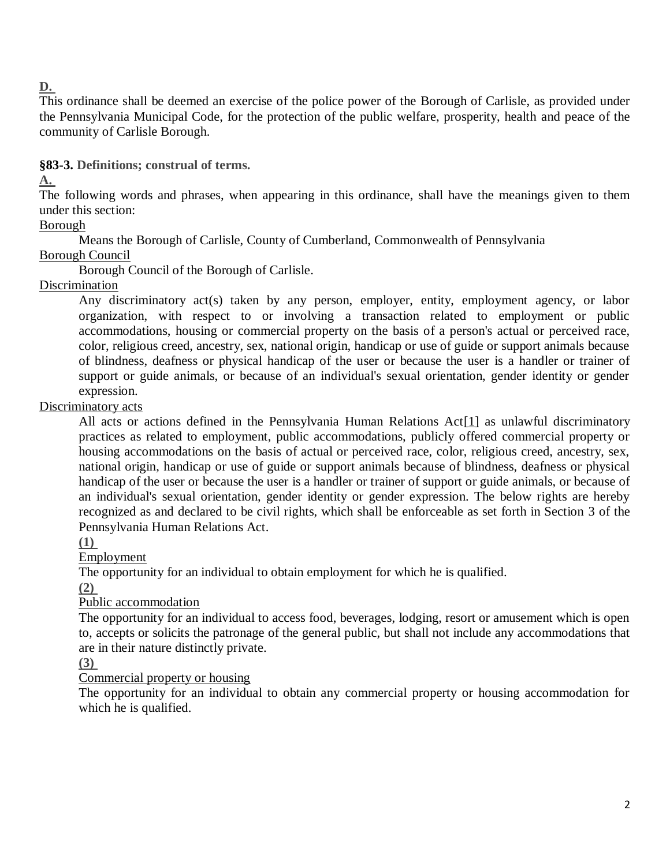### **[D.](http://ecode360.com/15421629#15421629)**

This ordinance shall be deemed an exercise of the police power of the Borough of Carlisle, as provided under the Pennsylvania Municipal Code, for the protection of the public welfare, prosperity, health and peace of the community of Carlisle Borough.

**§83-3. [Definitions; construal of terms.](http://ecode360.com/15421623#15421630)** 

### **[A.](http://ecode360.com/15421631#15421631)**

The following words and phrases, when appearing in this ordinance, shall have the meanings given to them under this section:

Borough

Means the Borough of Carlisle, County of Cumberland, Commonwealth of Pennsylvania

### Borough Council

Borough Council of the Borough of Carlisle.

### [Discrimination](http://ecode360.com/15421633#15421633)

Any discriminatory act(s) taken by any person, employer, entity, employment agency, or labor organization, with respect to or involving a transaction related to employment or public accommodations, housing or commercial property on the basis of a person's actual or perceived race, color, religious creed, ancestry, sex, national origin, handicap or use of guide or support animals because of blindness, deafness or physical handicap of the user or because the user is a handler or trainer of support or guide animals, or because of an individual's sexual orientation, gender identity or gender expression.

### [Discriminatory acts](http://ecode360.com/15421634#15421634)

All acts or actions defined in the Pennsylvania Human Relations Ac[t\[1\]](http://ecode360.com/15421623#ft15421634-1) as unlawful discriminatory practices as related to employment, public accommodations, publicly offered commercial property or housing accommodations on the basis of actual or perceived race, color, religious creed, ancestry, sex, national origin, handicap or use of guide or support animals because of blindness, deafness or physical handicap of the user or because the user is a handler or trainer of support or guide animals, or because of an individual's sexual orientation, gender identity or gender expression. The below rights are hereby recognized as and declared to be civil rights, which shall be enforceable as set forth in Section 3 of the Pennsylvania Human Relations Act.

### **[\(1\)](http://ecode360.com/15421635#15421635)**

[Employment](http://ecode360.com/15421635#15421635)

The opportunity for an individual to obtain employment for which he is qualified.

**[\(2\)](http://ecode360.com/15421636#15421636)**

### [Public accommodation](http://ecode360.com/15421636#15421636)

The opportunity for an individual to access food, beverages, lodging, resort or amusement which is open to, accepts or solicits the patronage of the general public, but shall not include any accommodations that are in their nature distinctly private.

### **[\(3\)](http://ecode360.com/15421637#15421637)**

### [Commercial property or housing](http://ecode360.com/15421637#15421637)

The opportunity for an individual to obtain any commercial property or housing accommodation for which he is qualified.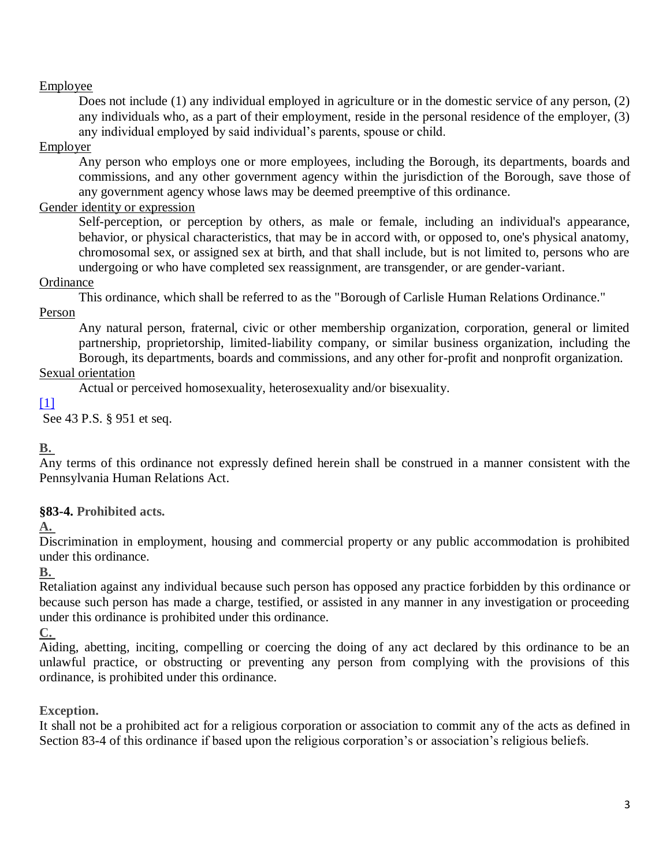### [Employee](http://ecode360.com/15421638#15421638)

Does not include (1) any individual employed in agriculture or in the domestic service of any person, (2) any individuals who, as a part of their employment, reside in the personal residence of the employer, (3) any individual employed by said individual's parents, spouse or child.

#### **[Employer](http://ecode360.com/15421639#15421639)**

Any person who employs one or more employees, including the Borough, its departments, boards and commissions, and any other government agency within the jurisdiction of the Borough, save those of any government agency whose laws may be deemed preemptive of this ordinance.

### [Gender identity or expression](http://ecode360.com/15421640#15421640)

Self-perception, or perception by others, as male or female, including an individual's appearance, behavior, or physical characteristics, that may be in accord with, or opposed to, one's physical anatomy, chromosomal sex, or assigned sex at birth, and that shall include, but is not limited to, persons who are undergoing or who have completed sex reassignment, are transgender, or are gender-variant.

#### **[Ordinance](http://ecode360.com/15421641#15421641)**

This ordinance, which shall be referred to as the "Borough of Carlisle Human Relations Ordinance."

[Person](http://ecode360.com/15421642#15421642)

Any natural person, fraternal, civic or other membership organization, corporation, general or limited partnership, proprietorship, limited-liability company, or similar business organization, including the Borough, its departments, boards and commissions, and any other for-profit and nonprofit organization.

### [Sexual orientation](http://ecode360.com/15421643#15421643)

Actual or perceived homosexuality, heterosexuality and/or bisexuality.

### $[1]$

See 43 P.S. § 951 et seq.

### **[B.](http://ecode360.com/15421645#15421645)**

Any terms of this ordinance not expressly defined herein shall be construed in a manner consistent with the Pennsylvania Human Relations Act.

### **§83-4. [Prohibited acts.](http://ecode360.com/15421623#15421683)**

**[A.](http://ecode360.com/15421684#15421684)**

Discrimination in employment, housing and commercial property or any public accommodation is prohibited under this ordinance.

### **[B.](http://ecode360.com/15421685#15421685)**

Retaliation against any individual because such person has opposed any practice forbidden by this ordinance or because such person has made a charge, testified, or assisted in any manner in any investigation or proceeding under this ordinance is prohibited under this ordinance.

### **[C.](http://ecode360.com/15421686#15421686)**

Aiding, abetting, inciting, compelling or coercing the doing of any act declared by this ordinance to be an unlawful practice, or obstructing or preventing any person from complying with the provisions of this ordinance, is prohibited under this ordinance.

### **[Exception.](http://ecode360.com/15421623#15421646)**

It shall not be a prohibited act for a religious corporation or association to commit any of the acts as defined in Section 83-4 of this ordinance if based upon the religious corporation's or association's religious beliefs.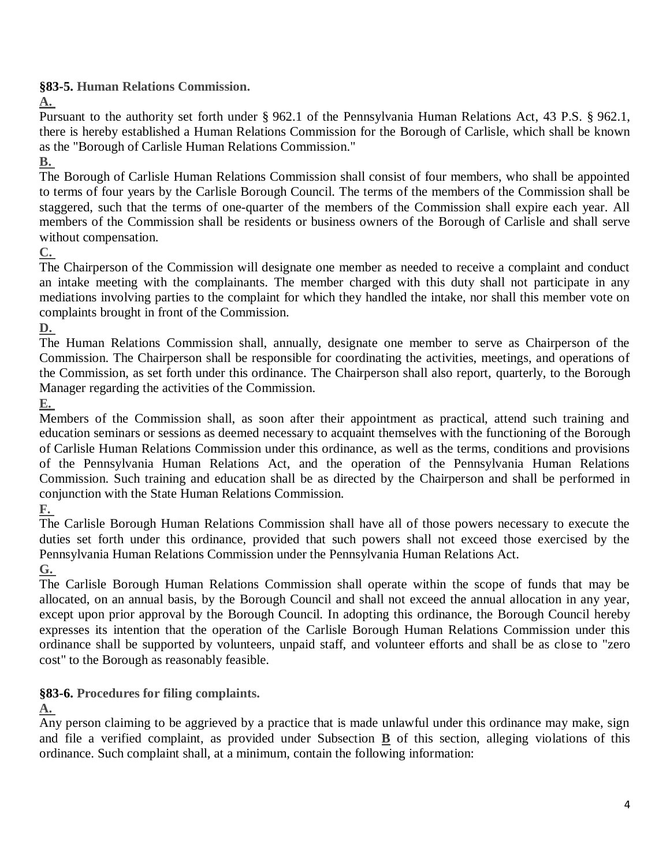**§83-5. [Human Relations Commission.](http://ecode360.com/15421623#15421647)** 

**[A.](http://ecode360.com/15421648#15421648)**

Pursuant to the authority set forth under § 962.1 of the Pennsylvania Human Relations Act, 43 P.S. § 962.1, there is hereby established a Human Relations Commission for the Borough of Carlisle, which shall be known as the "Borough of Carlisle Human Relations Commission."

### **[B.](http://ecode360.com/15421649#15421649)**

The Borough of Carlisle Human Relations Commission shall consist of four members, who shall be appointed to terms of four years by the Carlisle Borough Council. The terms of the members of the Commission shall be staggered, such that the terms of one-quarter of the members of the Commission shall expire each year. All members of the Commission shall be residents or business owners of the Borough of Carlisle and shall serve without compensation.

### **[C.](http://ecode360.com/15421650#15421650)**

The Chairperson of the Commission will designate one member as needed to receive a complaint and conduct an intake meeting with the complainants. The member charged with this duty shall not participate in any mediations involving parties to the complaint for which they handled the intake, nor shall this member vote on complaints brought in front of the Commission.

**[D.](http://ecode360.com/15421651#15421651)**

The Human Relations Commission shall, annually, designate one member to serve as Chairperson of the Commission. The Chairperson shall be responsible for coordinating the activities, meetings, and operations of the Commission, as set forth under this ordinance. The Chairperson shall also report, quarterly, to the Borough Manager regarding the activities of the Commission.

**[E.](http://ecode360.com/15421652#15421652)**

Members of the Commission shall, as soon after their appointment as practical, attend such training and education seminars or sessions as deemed necessary to acquaint themselves with the functioning of the Borough of Carlisle Human Relations Commission under this ordinance, as well as the terms, conditions and provisions of the Pennsylvania Human Relations Act, and the operation of the Pennsylvania Human Relations Commission. Such training and education shall be as directed by the Chairperson and shall be performed in conjunction with the State Human Relations Commission.

**[F.](http://ecode360.com/15421653#15421653)**

The Carlisle Borough Human Relations Commission shall have all of those powers necessary to execute the duties set forth under this ordinance, provided that such powers shall not exceed those exercised by the Pennsylvania Human Relations Commission under the Pennsylvania Human Relations Act.

**[G.](http://ecode360.com/15421654#15421654)**

The Carlisle Borough Human Relations Commission shall operate within the scope of funds that may be allocated, on an annual basis, by the Borough Council and shall not exceed the annual allocation in any year, except upon prior approval by the Borough Council. In adopting this ordinance, the Borough Council hereby expresses its intention that the operation of the Carlisle Borough Human Relations Commission under this ordinance shall be supported by volunteers, unpaid staff, and volunteer efforts and shall be as close to "zero cost" to the Borough as reasonably feasible.

## **§83-6. [Procedures for filing complaints.](http://ecode360.com/15421623#15421655)**

### **[A.](http://ecode360.com/15421656#15421656)**

Any person claiming to be aggrieved by a practice that is made unlawful under this ordinance may make, sign and file a verified complaint, as provided under Subsection **[B](http://ecode360.com/15421661#15421661)** of this section, alleging violations of this ordinance. Such complaint shall, at a minimum, contain the following information: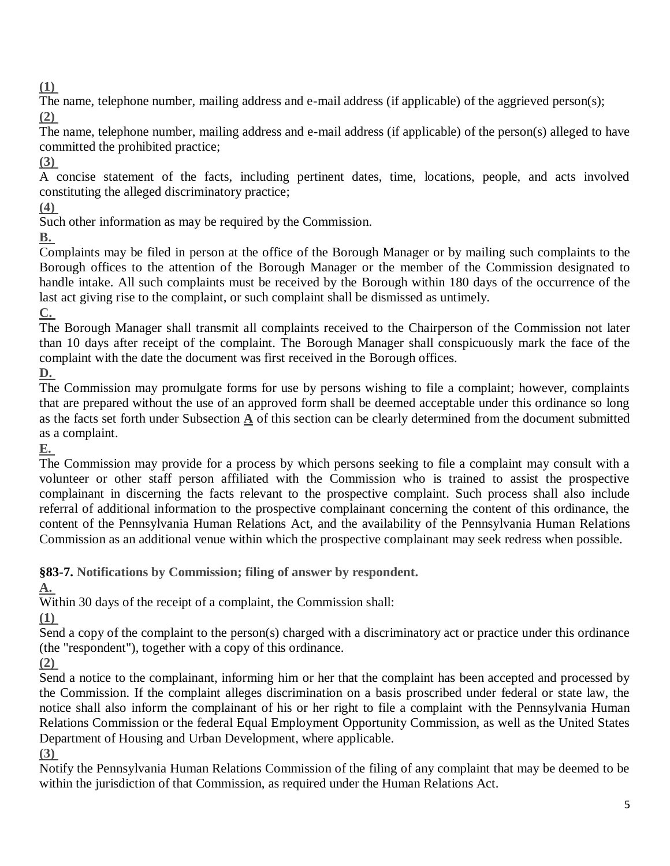**[\(1\)](http://ecode360.com/15421657#15421657)**

The name, telephone number, mailing address and e-mail address (if applicable) of the aggrieved person(s); **[\(2\)](http://ecode360.com/15421658#15421658)**

The name, telephone number, mailing address and e-mail address (if applicable) of the person(s) alleged to have committed the prohibited practice;

**[\(3\)](http://ecode360.com/15421659#15421659)**

A concise statement of the facts, including pertinent dates, time, locations, people, and acts involved constituting the alleged discriminatory practice;

**[\(4\)](http://ecode360.com/15421660#15421660)**

Such other information as may be required by the Commission.

**[B.](http://ecode360.com/15421661#15421661)**

Complaints may be filed in person at the office of the Borough Manager or by mailing such complaints to the Borough offices to the attention of the Borough Manager or the member of the Commission designated to handle intake. All such complaints must be received by the Borough within 180 days of the occurrence of the last act giving rise to the complaint, or such complaint shall be dismissed as untimely.

**[C.](http://ecode360.com/15421662#15421662)**

The Borough Manager shall transmit all complaints received to the Chairperson of the Commission not later than 10 days after receipt of the complaint. The Borough Manager shall conspicuously mark the face of the complaint with the date the document was first received in the Borough offices.

**[D.](http://ecode360.com/15421663#15421663)**

The Commission may promulgate forms for use by persons wishing to file a complaint; however, complaints that are prepared without the use of an approved form shall be deemed acceptable under this ordinance so long as the facts set forth under Subsection **[A](http://ecode360.com/15421656#15421656)** of this section can be clearly determined from the document submitted as a complaint.

**[E.](http://ecode360.com/15421664#15421664)**

The Commission may provide for a process by which persons seeking to file a complaint may consult with a volunteer or other staff person affiliated with the Commission who is trained to assist the prospective complainant in discerning the facts relevant to the prospective complaint. Such process shall also include referral of additional information to the prospective complainant concerning the content of this ordinance, the content of the Pennsylvania Human Relations Act, and the availability of the Pennsylvania Human Relations Commission as an additional venue within which the prospective complainant may seek redress when possible.

**§83-7. [Notifications by Commission; filing of answer by respondent.](http://ecode360.com/15421623#15421665)** 

**[A.](http://ecode360.com/15421666#15421666)**

Within 30 days of the receipt of a complaint, the Commission shall:

**[\(1\)](http://ecode360.com/15421667#15421667)**

Send a copy of the complaint to the person(s) charged with a discriminatory act or practice under this ordinance (the "respondent"), together with a copy of this ordinance.

**[\(2\)](http://ecode360.com/15421668#15421668)**

Send a notice to the complainant, informing him or her that the complaint has been accepted and processed by the Commission. If the complaint alleges discrimination on a basis proscribed under federal or state law, the notice shall also inform the complainant of his or her right to file a complaint with the Pennsylvania Human Relations Commission or the federal Equal Employment Opportunity Commission, as well as the United States Department of Housing and Urban Development, where applicable.

**[\(3\)](http://ecode360.com/15421669#15421669)**

Notify the Pennsylvania Human Relations Commission of the filing of any complaint that may be deemed to be within the jurisdiction of that Commission, as required under the Human Relations Act.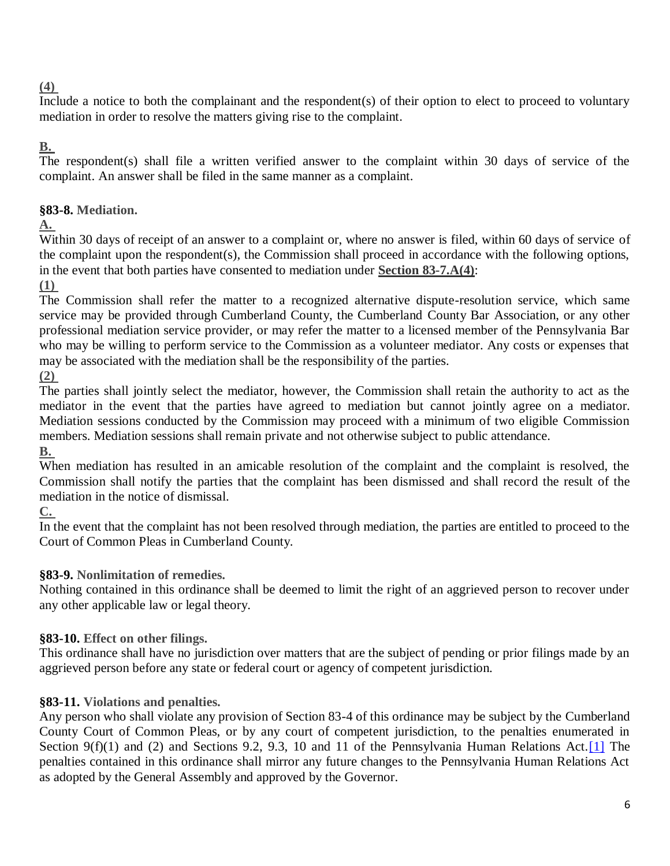### **[\(4\)](http://ecode360.com/15421670#15421670)**

Include a notice to both the complainant and the respondent(s) of their option to elect to proceed to voluntary mediation in order to resolve the matters giving rise to the complaint.

### **[B.](http://ecode360.com/15421671#15421671)**

The respondent(s) shall file a written verified answer to the complaint within 30 days of service of the complaint. An answer shall be filed in the same manner as a complaint.

## **§83-8. [Mediation.](http://ecode360.com/15421623#15421672)**

**[A.](http://ecode360.com/15421673#15421673)**

Within 30 days of receipt of an answer to a complaint or, where no answer is filed, within 60 days of service of the complaint upon the respondent(s), the Commission shall proceed in accordance with the following options, in the event that both parties have consented to mediation under **Section 83-7.A(4)**:

**[\(1\)](http://ecode360.com/15421674#15421674)**

The Commission shall refer the matter to a recognized alternative dispute-resolution service, which same service may be provided through Cumberland County, the Cumberland County Bar Association, or any other professional mediation service provider, or may refer the matter to a licensed member of the Pennsylvania Bar who may be willing to perform service to the Commission as a volunteer mediator. Any costs or expenses that may be associated with the mediation shall be the responsibility of the parties.

**[\(2\)](http://ecode360.com/15421675#15421675)**

The parties shall jointly select the mediator, however, the Commission shall retain the authority to act as the mediator in the event that the parties have agreed to mediation but cannot jointly agree on a mediator. Mediation sessions conducted by the Commission may proceed with a minimum of two eligible Commission members. Mediation sessions shall remain private and not otherwise subject to public attendance. **[B.](http://ecode360.com/15421676#15421676)**

When mediation has resulted in an amicable resolution of the complaint and the complaint is resolved, the Commission shall notify the parties that the complaint has been dismissed and shall record the result of the mediation in the notice of dismissal.

**[C.](http://ecode360.com/15421677#15421677)**

In the event that the complaint has not been resolved through mediation, the parties are entitled to proceed to the Court of Common Pleas in Cumberland County.

## **§83-9. [Nonlimitation of remedies.](http://ecode360.com/15421623#15421678)**

Nothing contained in this ordinance shall be deemed to limit the right of an aggrieved person to recover under any other applicable law or legal theory.

## **§83-10. [Effect on other filings.](http://ecode360.com/15421623#15421679)**

This ordinance shall have no jurisdiction over matters that are the subject of pending or prior filings made by an aggrieved person before any state or federal court or agency of competent jurisdiction.

# **§83-11. [Violations and penalties.](http://ecode360.com/15421623#15421680)**

Any person who shall violate any provision of Section 83-4 of this ordinance may be subject by the Cumberland County Court of Common Pleas, or by any court of competent jurisdiction, to the penalties enumerated in Section 9(f)(1) and (2) and Sections 9.2, 9.3, 10 and 11 of the Pennsylvania Human Relations Act. [1] The penalties contained in this ordinance shall mirror any future changes to the Pennsylvania Human Relations Act as adopted by the General Assembly and approved by the Governor.